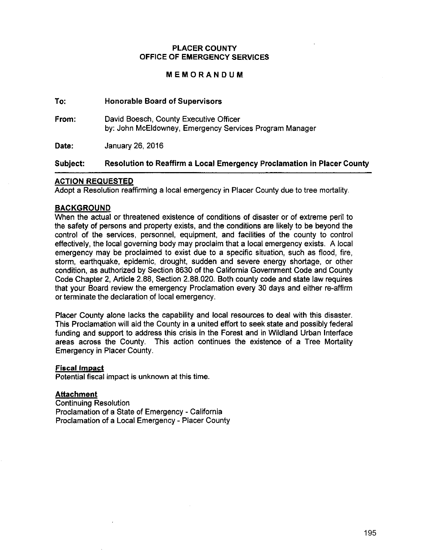#### **PLACER COUNTY OFFICE OF EMERGENCY SERVICES**

#### **MEMORANDUM**

## **To: Honorable Board of Supervisors**

**From:** David Boesch, County Executive Officer by: John McEldowney, Emergency Services Program Manager

**Date:** January 26, 2016

## **Subject: Resolution to Reaffirm a Local Emergency Proclamation in Placer County**

## **ACTION REQUESTED**

Adopt a Resolution reaffirming a local emergency in Placer County due to tree mortality.

## **BACKGROUND**

When the actual or threatened existence of conditions of disaster or of extreme peril to the safety of persons and property exists, and the conditions are likely to be beyond the control of the services, personnel, equipment, and facilities of the county to control effectively, the local governing body may proclaim that a local emergency exists. A local emergency may be proclaimed to exist due to a specific situation, such as flood, fire, storm, earthquake, epidemic, drought, sudden and severe energy shortage, or other condition, as authorized by Section 8630 of the California Government Code and County Code Chapter 2, Article 2.88, Section 2.88.020. Both county code and state law requires that your Board review the emergency Proclamation every 30 days and either re-affirm or terminate the declaration of local emergency.

Placer County alone lacks the capability and local resources to deal with this disaster. This Proclamation will aid the County in a united effort to seek state and possibly federal funding and support to address this crisis in the Forest and in Wildland Urban Interface areas across the County. This action continues the existence of a Tree Mortality Emergency in Placer County.

#### **Fiscal Impact**

Potential fiscal impact is unknown at this time.

#### **Attachment**

Continuing Resolution Proclamation of a State of Emergency - California Proclamation of a Local Emergency- Placer County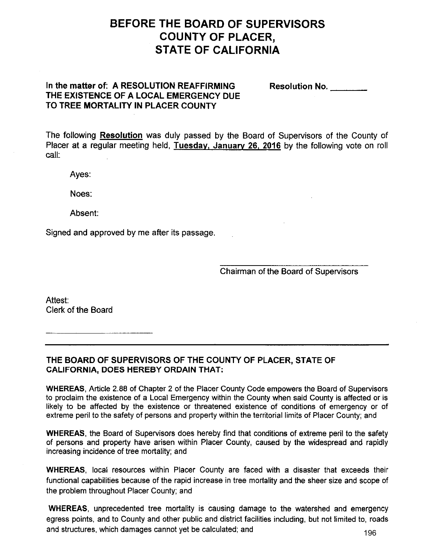# **BEFORE THE BOARD OF SUPERVISORS COUNTY OF PLACER, STATE OF CALIFORNIA**

## **In the matter of: A RESOLUTION REAFFIRMING THE EXISTENCE OF A LOCAL EMERGENCY DUE TO TREE MORTALITY IN PLACER COUNTY**

**Resolution No.** \_\_\_ \_

The following **Resolution** was duly passed by the Board of Supervisors of the County of Placer at a regular meeting held, **Tuesday, January 26, 2016** by the following vote on roll call:

Ayes:

Noes:

Absent:

Signed and approved by me after its passage.

Chairman of the Board of Supervisors

Attest: Clerk of the Board

**THE BOARD OF SUPERVISORS OF THE COUNTY OF PLACER, STATE OF CALIFORNIA, DOES HEREBY ORDAIN THAT:** 

**WHEREAS,** Article 2.88 of Chapter 2 of the Placer County Code empowers the Board of Supervisors to proclaim the existence of a Local Emergency within the County when said County is affected or is likely to be affected by the existence or threatened existence of conditions of emergency or of extreme peril to the safety of persons and property within the territorial limits of Placer County; and

**WHEREAS,** the Board of Supervisors does hereby find that conditions of extreme peril to the safety of persons and property have arisen within Placer County, caused by the widespread and rapidly increasing incidence of tree mortality; and

**WHEREAS,** local resources within Placer County are faced with a disaster that exceeds their functional capabilities because of the rapid increase in tree mortality and the sheer size and scope of the problem throughout Placer County; and

**WHEREAS,** unprecedented tree mortality is causing damage to the watershed and emergency egress points, and to County and other public and district facilities including, but not limited to, roads and structures, which damages cannot yet be calculated; and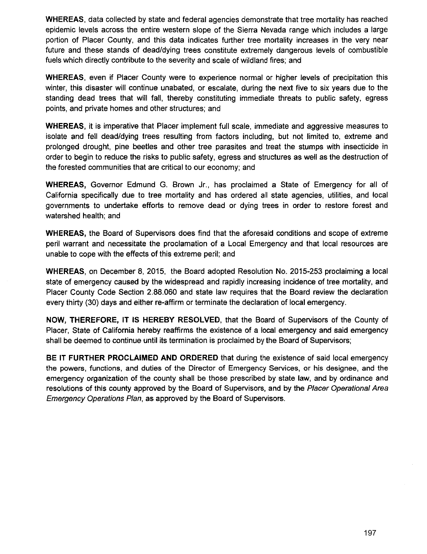**WHEREAS,** data collected by state and federal agencies demonstrate that tree mortality has reached epidemic levels across the entire western slope of the Sierra Nevada range which includes a large portion of Placer County, and this data indicates further tree mortality increases in the very near future and these stands of dead/dying trees constitute extremely dangerous levels of combustible fuels which directly contribute to the severity and scale of wildland fires; and

**WHEREAS,** even if Placer County were to experience normal or higher levels of precipitation this winter, this disaster will continue unabated, or escalate, during the next five to six years due to the standing dead trees that will fall, thereby constituting immediate threats to public safety, egress points, and private homes and other structures; and

**WHEREAS,** it is imperative that Placer implement full scale, immediate and aggressive measures to isolate and fell dead/dying trees resulting from factors including, but not limited to, extreme and prolonged drought, pine beetles and other tree parasites and treat the stumps with insecticide in order to begin to reduce the risks to public safety, egress and structures as well as the destruction of the forested communities that are critical to our economy; and

**WHEREAS,** Governor Edmund G. Brown Jr., has proclaimed a State of Emergency for all of California specifically due to tree mortality and has ordered all state agencies, utilities, and local governments to undertake efforts to remove dead or dying trees in order to restore forest and watershed health; and

**WHEREAS,** the Board of Supervisors does find that the aforesaid conditions and scope of extreme peril warrant and necessitate the proclamation of a Local Emergency and that local resources are unable to cope with the effects of this extreme peril; and

**WHEREAS,** on December 8, 2015, the Board adopted Resolution No. 2015-253 proclaiming a local state of emergency caused by the widespread and rapidly increasing incidence of tree mortality, and Placer County Code Section 2.88.060 and state law requires that the Board review the declaration every thirty (30) days and either re-affirm or terminate the declaration of local emergency.

**NOW, THEREFORE,** IT IS **HEREBY RESOLVED,** that the Board of Supervisors of the County of Placer, State of California hereby reaffirms the existence of a local emergency and said emergency shall be deemed to continue until its termination is proclaimed by the Board of Supervisors;

**BE IT FURTHER PROCLAIMED AND ORDERED** that during the existence of said local emergency the powers, functions, and duties of the Director of Emergency Services, or his designee, and the emergency organization of the county shall be those prescribed by state law, and by ordinance and resolutions of this county approved by the Board of Supervisors, and by the Placer Operational Area Emergency Operations Plan, as approved by the Board of Supervisors.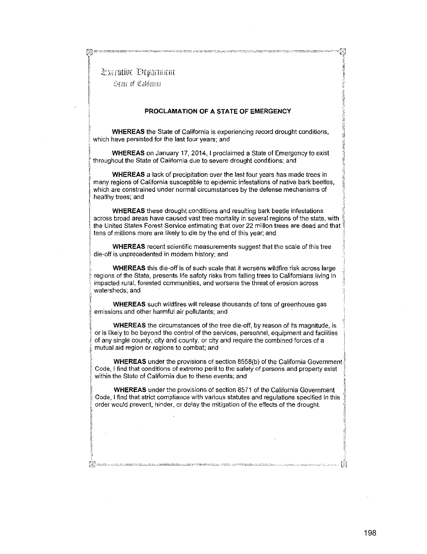l:;,:cruti\1£ Dq;aitiiitiH

8

 $~$   $~$   $\approx$  to triangle  $~$   $~$   $\approx$   $~$   $~$   $~$   $\approx$   $~$   $~$   $~$   $\approx$   $~$   $~$   $~$   $\approx$   $~$   $~$   $\approx$   $~$   $~$   $\approx$   $~$   $\approx$   $~$   $\approx$   $~$   $\approx$   $~$   $\approx$   $~$   $\approx$   $~$   $\approx$   $~$   $\approx$   $~$   $\approx$   $~$   $\approx$   $~$   $\approx$   $~$   $\approx$   $~$   $\approx$ 

1

ii r, I' i I li ,. i'  $\stackrel{..}{\approx}$ 

#### **PROCLAMATION OF A STATE OF EMERGENCY**

**WHEREAS** the State of California is experiencing record drought conditions, which have persisted for the last four years; and

**WHEREAS** on January 17, 2014, I proclaimed a State of Emergency to exist throughout the State of California due to severe drought conditions; and

**WHEREAS** a lack of precipitation over the last four years has made trees in many regions of California susceptible to epidemic infestations of native bark beetles, **which are constrained under normal circumstances by the defense mechanisms of**  healthy trees; and

**WHEREAS** these drought conditions and resulting bark beetle infestations :: across broad areas have caused vast tree mortality in several regions of the state, with the United States Forest Service estimating that over 22 million trees are dead and that tens of millions more are likely to die by the end of this year; and

**WHEREAS** recent scientific measurements suggest that the scale of this tree die-off is unprecedented in modern history; and

**WHEREAS** this die-off is of such scale that it worsens wildfire risk across large regions of the State, presents life safety risks from falling trees to Californians living in **impacted rural, forested communities, and worsens the threat of erosion across**  watersheds; and

WHEREAS such wildfires will release thousands of tons of greenhouse gas emissions and other harmful air pollutants; and

(;; **WHEREAS** the circumstances of the tree die-off, by reason of its magnitude, is or is likely to be beyond the control of the services, personnel, equipment and facilities of any single county, city and county, or city and require the combined forces of a mutual aid region or regions to combat; and

WHEREAS under the provisions of section 8558(b) of the California Government. : **Code, I find that conditions of extreme peril to the safety of persons and property exist** ,I within the State of California due to these events; and

**WHEREAS** under the provisions of section 8571 of the California Government Code, I find that strict compliance with various statutes and regulations specified in this order would prevent, hinder, or delay the mitigation of the effects of the drought.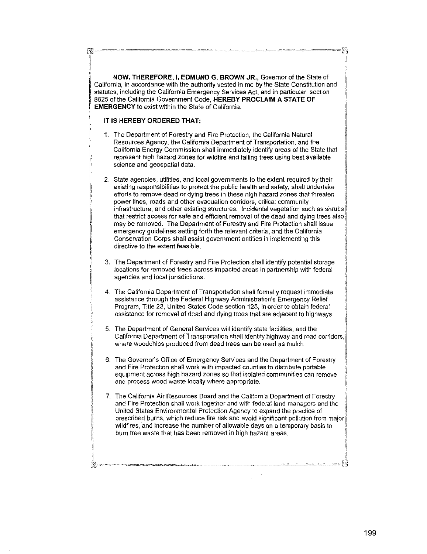NOW, THEREFORE, I, EDMUND G. BROWN JR., Governor of the State of California, in accordance with the authority vested in me by the State Constitution and statutes, including the California Emergency Services Act, and in particular, section 8625 of the California Government Code, HEREBY PROCLAIM A STATE OF **EMERGENCY** to exist within the State of California.

#### IT IS HEREBY ORDERED THAT:

-33

- 1. The Department of Forestry and Fire Protection, the California Natural Resources Agency, the California Department of Transportation, and the California Energy Commission shall immediately identify areas of the State that represent high hazard zones for wildfire and falling trees using best available science and geospatial data.
- 2. State agencies, utilities, and local governments to the extent required by their existing responsibilities to protect the public health and safety, shall undertake efforts to remove dead or dying trees in these high hazard zones that threaten power lines, roads and other evacuation corridors, critical community infrastructure, and other existing structures. Incidental vegetation such as shrubs that restrict access for safe and efficient removal of the dead and dying trees also may be removed. The Department of Forestry and Fire Protection shall issue emergency guidelines setting forth the relevant criteria, and the California Conservation Corps shall assist government entities in implementing this directive to the extent feasible.
- 3. The Department of Forestry and Fire Protection shall identify potential storage locations for removed trees across impacted areas in partnership with federal agencies and local jurisdictions.
- 4. The California Department of Transportation shall formally request immediate assistance through the Federal Highway Administration's Emergency Relief Program, Title 23, United States Code section 125, in order to obtain federal assistance for removal of dead and dying trees that are adjacent to highways.
- 5. The Department of General Services will identify state facilities, and the California Department of Transportation shall identify highway and road corridors, where woodchips produced from dead trees can be used as mulch.
- 6. The Governor's Office of Emergency Services and the Department of Forestry and Fire Protection shall work with impacted counties to distribute portable equipment across high hazard zones so that isolated communities can remove and process wood waste locally where appropriate.
- 7. The California Air Resources Board and the California Department of Forestry and Fire Protection shall work together and with federal land managers and the United States Environmental Protection Agency to expand the practice of prescribed burns, which reduce fire risk and avoid significant pollution from major wildfires, and increase the number of allowable days on a temporary basis to burn tree waste that has been removed in high hazard areas.

u)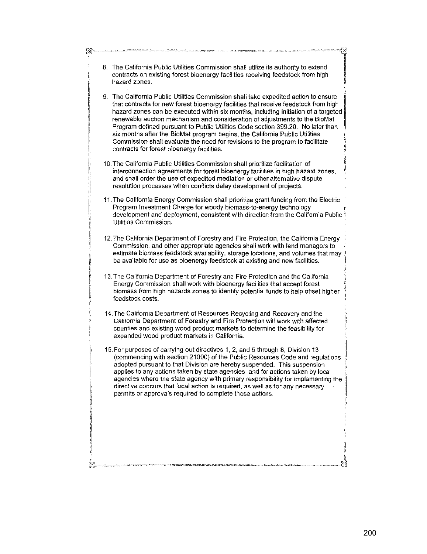| 8. The California Public Utilities Commission shall utilize its authority to extend<br>contracts on existing forest bioenergy facilities receiving feedstock from high<br>hazard zones.                                                                                                                                                                                                                                                                                                                                                                                                                                                         |
|-------------------------------------------------------------------------------------------------------------------------------------------------------------------------------------------------------------------------------------------------------------------------------------------------------------------------------------------------------------------------------------------------------------------------------------------------------------------------------------------------------------------------------------------------------------------------------------------------------------------------------------------------|
| 9. The California Public Utilities Commission shall take expedited action to ensure<br>that contracts for new forest bioenergy facilities that receive feedstock from high<br>hazard zones can be executed within six months, including initiation of a targeted<br>renewable auction mechanism and consideration of adjustments to the BioMat<br>Program defined pursuant to Public Utilities Code section 399.20. No later than<br>six months after the BioMat program begins, the California Public Utilities<br>Commission shall evaluate the need for revisions to the program to facilitate<br>contracts for forest bioenergy facilities. |
| 10. The California Public Utilities Commission shall prioritize facilitation of<br>interconnection agreements for forest bioenergy facilities in high hazard zones,<br>and shall order the use of expedited mediation or other alternative dispute<br>resolution processes when conflicts delay development of projects.                                                                                                                                                                                                                                                                                                                        |
| 11. The California Energy Commission shall prioritize grant funding from the Electric<br>Program Investment Charge for woody biomass-to-energy technology<br>development and deployment, consistent with direction from the California Public<br>Utilities Commission.                                                                                                                                                                                                                                                                                                                                                                          |
| 12. The California Department of Forestry and Fire Protection, the California Energy<br>Commission, and other appropriate agencies shall work with land managers to<br>estimate biomass feedstock availability, storage locations, and volumes that may<br>be available for use as bioenergy feedstock at existing and new facilities.                                                                                                                                                                                                                                                                                                          |
| 13. The California Department of Forestry and Fire Protection and the California<br>Energy Commission shall work with bioenergy facilities that accept forest<br>biomass from high hazards zones to identify potential funds to help offset higher<br>feedstock costs.                                                                                                                                                                                                                                                                                                                                                                          |
| 14. The California Department of Resources Recycling and Recovery and the<br>California Department of Forestry and Fire Protection will work with affected<br>counties and existing wood product markets to determine the feasibility for<br>expanded wood product markets in California.                                                                                                                                                                                                                                                                                                                                                       |
| 15. For purposes of carrying out directives 1, 2, and 5 through 8, Division 13<br>(commencing with section 21000) of the Public Resources Code and regulations<br>adopted pursuant to that Division are hereby suspended. This suspension<br>applies to any actions taken by state agencies, and for actions taken by local<br>agencies where the state agency with primary responsibility for implementing the<br>directive concurs that local action is required, as well as for any necessary<br>permits or approvals required to complete these actions.                                                                                    |
|                                                                                                                                                                                                                                                                                                                                                                                                                                                                                                                                                                                                                                                 |
|                                                                                                                                                                                                                                                                                                                                                                                                                                                                                                                                                                                                                                                 |

 $\frac{53}{1}$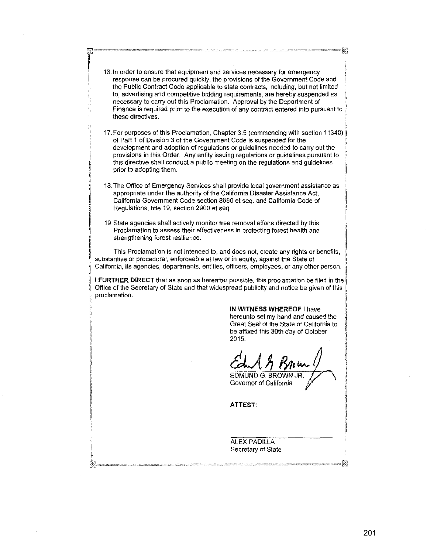II; - 16.In order to ensure that equipment and services necessary for emergency **1986** response can be procured quickly, the provisions of the Government Code and \[ the Public Contract Code applicable to state contracts, including, but not limited : to, advertising and competitive bidding requirements, are hereby suspended as t necessary to carry out this Proclamation. Approval by the Department of Finance is required prior to the execution of any contract entered into pursuant to these directives

 $r_{\rm{1}}=100-100$  . The contract of the contract of the contract of the contract of the contract of the contract of the contract of the contract of the contract of the contract of the contract of the contract of the contr  $\frac{1}{2}$ 

I

i' ,, )! I' ,,

II ,\_

li

li

ji I. i: i' 1-  $~^{\prime\prime}$ I' [, I  $\mathfrak{g}^{\prime}$ 1: li. I' ,,

- 17. For purposes of this Proclamation, Chapter 3.5 (commencing with section 11340) $\parallel$ of Part 1 of Division 3 of the Government Code is suspended for the development and adoption of regulations or guidelines needed to carry out the provisions in this Order. Any entity issuing regulations or guidelines pursuant to 'I this directive shall conduct a public meeting on the regulations and guidelines prior to adopting them.
- 18. The Office of Emergency Services shall provide local government assistance as appropriate under the authority of the California Disaster Assistance Act, California Government Code section 8680 et seq\_ and California Code of Regulations, title 19, section 2900 et seq\_
- 19. State agencies shall actively monitor tree removal efforts directed by this Proclamation to assess their effectiveness in protecting forest health and strengthening forest resilience.

This Proclamation is not intended to, and does not, create any rights or benefits, substantive or procedural, enforceable at law or in equity, against the State of California, its agencies, departments, entities, officers, employees, or any other person.

**I FURTHER DIRECT** that as soon as hereafter possible, this proclamation be filed in the Office of the Secretary of State and that widespread publicity and notice be given of this \1, proclamation.

#### **IN WITNESS WHEREOF** I have

hereunto set my hand and caused the Great Seal of the State of California to be affixed this 30th day of October 2015.

I i[ 'I

:I I. i) :1

il ~I

\

EDMUND G. BROWN JR. Governor of California

- -------~ --- -- -------- ---~----- -------------- -----0[~

**ATTEST:** 

ALEX PADILLA Secretary of State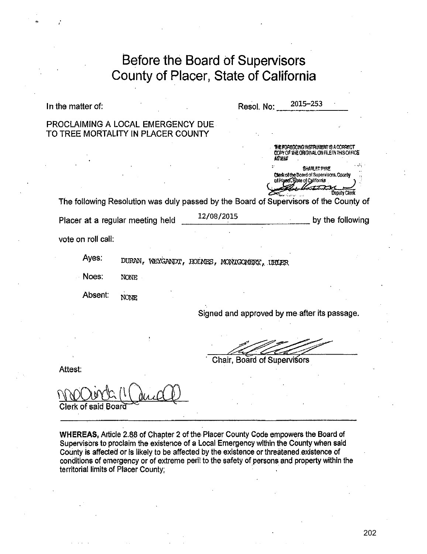| Before the Board of Supervisors<br>County of Placer, State of California |                                                                                                                                                                                                                                                                                                     |  |  |
|--------------------------------------------------------------------------|-----------------------------------------------------------------------------------------------------------------------------------------------------------------------------------------------------------------------------------------------------------------------------------------------------|--|--|
| In the matter of:                                                        | 2015–253<br>Resol. No:                                                                                                                                                                                                                                                                              |  |  |
| PROCLAIMING A LOCAL EMERGENCY DUE<br>TO TREE MORTALITY IN PLACER COUNTY  |                                                                                                                                                                                                                                                                                                     |  |  |
|                                                                          | THE FOREGOING INSTRUMENT IS A CORRECT<br>COPY OF THE ORIGINAL ON FILE IN THIS OFFICE<br><b>SHARLET PYNE</b><br>Clerk of the Board of Supervisors, County<br>of Placer. State of California<br>Denuty Clerk<br>The following Resolution was duly passed by the Board of Supervisors of the County of |  |  |
| Placer at a regular meeting held                                         | 12/08/2015<br>by the following                                                                                                                                                                                                                                                                      |  |  |
| vote on roll call:                                                       |                                                                                                                                                                                                                                                                                                     |  |  |
| Ayes.                                                                    | DURAN, WEYGANDT, HOLMES, MONIGOMERY, UHLER                                                                                                                                                                                                                                                          |  |  |
| Noes:<br><b>NONE</b>                                                     |                                                                                                                                                                                                                                                                                                     |  |  |
| Absent:<br>NONE                                                          |                                                                                                                                                                                                                                                                                                     |  |  |
|                                                                          | Signed and approved by me after its passage.                                                                                                                                                                                                                                                        |  |  |
|                                                                          |                                                                                                                                                                                                                                                                                                     |  |  |
| Attest:                                                                  | Chair, Board of Supervisors                                                                                                                                                                                                                                                                         |  |  |
|                                                                          |                                                                                                                                                                                                                                                                                                     |  |  |

Clerk of said Board

WHEREAS, Article 2.88 of Chapter 2 of the Placer County Code empowers the Board of Supervisors to proclaim the existence of a Local Emergency within the County when said County is affected or is likely to be affected by the existence or threatened existence of conditions of emergency or of extreme peril to the safety of persons and property within the territorial limits of Placer County;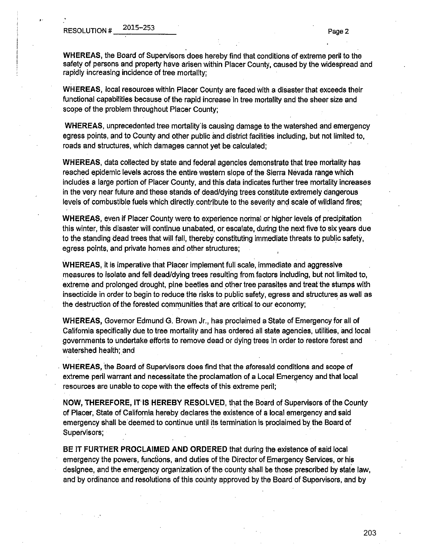,.

**WHEREAS,** the Board of Supervisors does hereby find that conditions of extreme peril to the safety of persons and property have arisen within Placer County, caused by the widespread and rapidly increasing incidence of tree mortality;

**WHEREAS,** local resources within Placer County are faced with a disaster that exceeds their functional capabilities because of the rapid increase in tree mortality and the sheer size and scope of the problem throughout Placer County;

**WHEREAS,** unprecedented tree mortality' is causing damage to the watershed and emergency egress points, and to County and other public and district facilities including, but not limited to, roads and structures, which damages cannot yet be calculated;

**WHEREAS,** data collected by state and federal agencies demonstrate that tree mortality has reached epidemic levels across the entire western slope of the Sierra Nevada range which includes a large portion of Placer County, and this data indicates further tree mortality increases in the very near future and these stands of dead/dying trees constitute extremely dangerous levels of combustible fuels which directly contribute to the severity and scale of wildland fires;

**WHEREAS, even if Placer County were to experience normal or higher levels of precipitation** this winter, this disaster will continue unabated, or escalate, during the next five to six years due to the standing dead trees that will fall, thereby constituting immediate threats to public safety, egress points, and private homes and other structures;

**WHEREAS,** it is imperative that Placer implement full scale, immediate and aggressive measures to isolate and fell dead/dying trees resulting from factors including, but not limited to, extreme and prolonged drought, pine beetles and other tree parasites and treat the stumps with insecticide in order to begin to reduce the risks to public safety, egress and structures as well as the destruction of the forested communities that are critical to our economy;

**WHEREAS,** Governor Edmund G. Brown Jr., has proclaimed a State of Emergency for all of California specifically due to tree mortality and has ordered all state agencies, utilities, and local governmenis to undertake efforts to remove dead or dying trees in order to restore forest and watershed health; and

. **WHEREAS,** the Board of Supervisors does find that the aforesaid conditions and scope of extreme peril warrant and necessitate the proclamation of a Local Emergency and that local resources are unable to cope with the effects of this extreme peril;

**NOW, THEREFORE, IT· IS HEREBY RESOLVED,** that the Board of Supervisors of the County of Placer, State of California hereby declares the existence of a local emergency and said emergency shall be deemed to continue until its termination is proclaimed by the Board of Supervisors;

**BE IT FURTHER PROCLAIMED AND ORDERED** that during the existence of said local emergency the powers, funciions, and duties of the Director of Emergency Services, or his designee, and the emergency organization of the county shall be those prescribed by state law, and by ordinance and resolutions of this county approved by the Board of Supervisors, and by